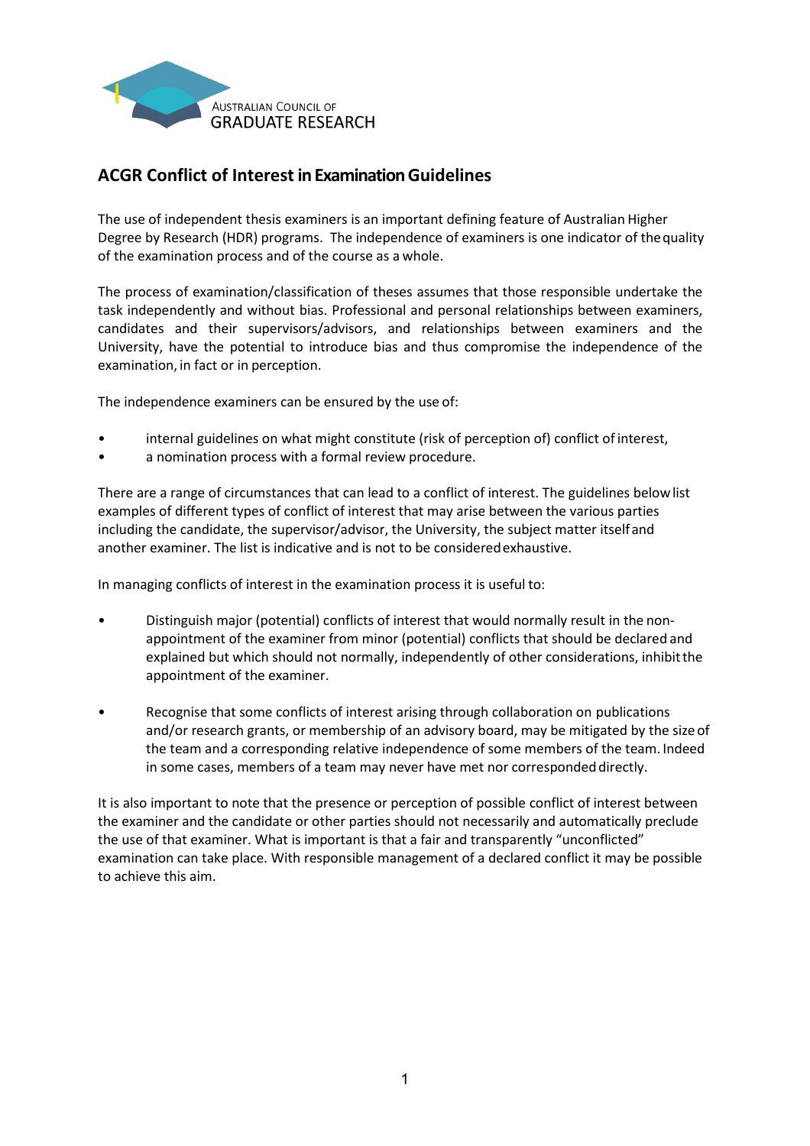

## **ACGR Conflict of Interest in Examination Guidelines**

The use of independent thesis examiners is an important defining feature of Australian Higher Degree by Research (HDR) programs. The independence of examiners is one indicator of thequality of the examination process and of the course as a whole.

The process of examination/classification of theses assumes that those responsible undertake the task independently and without bias. Professional and personal relationships between examiners, candidates and their supervisors/advisors, and relationships between examiners and the University, have the potential to introduce bias and thus compromise the independence of the examination, in fact or in perception.

The independence examiners can be ensured by the use of:

- internal guidelines on what might constitute (risk of perception of) conflict ofinterest,
- a nomination process with a formal review procedure.

There are a range of circumstances that can lead to a conflict of interest. The guidelines belowlist examples of different types of conflict of interest that may arise between the various parties including the candidate, the supervisor/advisor, the University, the subject matter itselfand another examiner. The list is indicative and is not to be consideredexhaustive.

In managing conflicts of interest in the examination process it is useful to:

- Distinguish major (potential) conflicts of interest that would normally result in the nonappointment of the examiner from minor (potential) conflicts that should be declared and explained but which should not normally, independently of other considerations, inhibitthe appointment of the examiner.
- Recognise that some conflicts of interest arising through collaboration on publications and/or research grants, or membership of an advisory board, may be mitigated by the sizeof the team and a corresponding relative independence of some members of the team. Indeed in some cases, members of a team may never have met nor corresponded directly.

It is also important to note that the presence or perception of possible conflict of interest between the examiner and the candidate or other parties should not necessarily and automatically preclude the use of that examiner. What is important is that a fair and transparently "unconflicted" examination can take place. With responsible management of a declared conflict it may be possible to achieve this aim.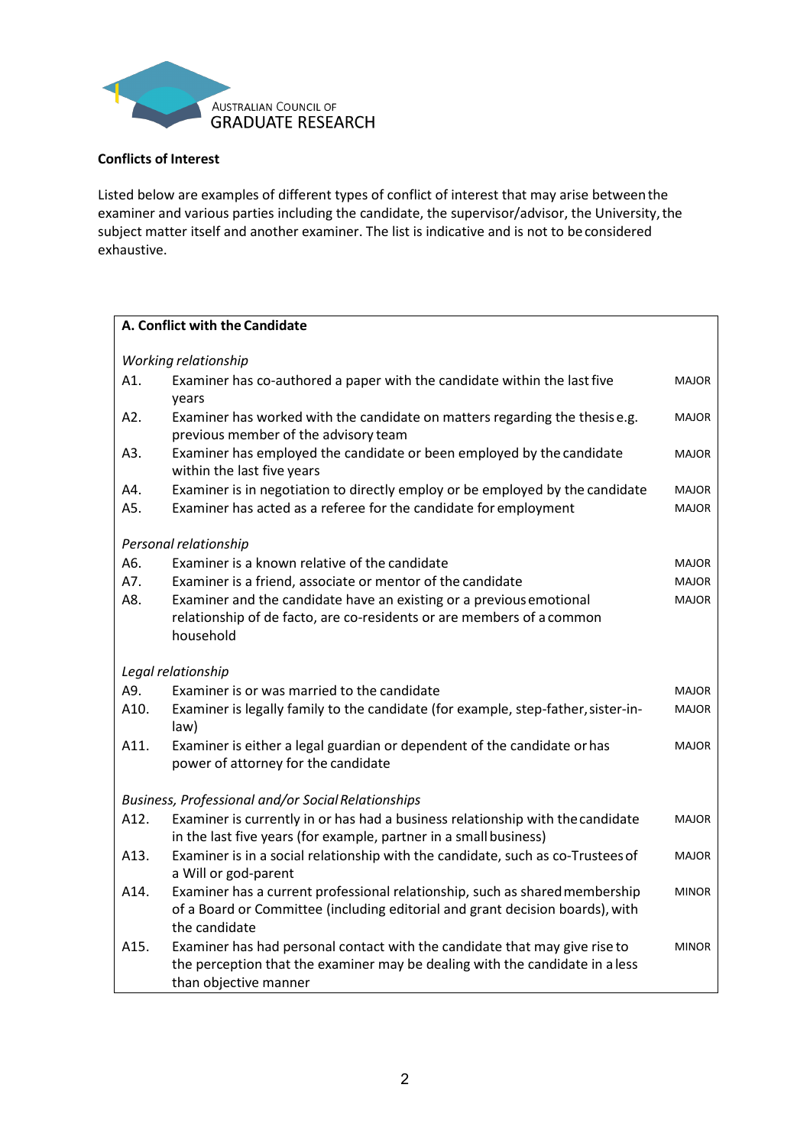

## **Conflicts of Interest**

Listed below are examples of different types of conflict of interest that may arise betweenthe examiner and various parties including the candidate, the supervisor/advisor, the University,the subject matter itself and another examiner. The list is indicative and is not to be considered exhaustive.

٦

|      | A. Conflict with the Candidate                                                                                                                                                      |              |  |
|------|-------------------------------------------------------------------------------------------------------------------------------------------------------------------------------------|--------------|--|
|      | Working relationship                                                                                                                                                                |              |  |
| A1.  | Examiner has co-authored a paper with the candidate within the last five                                                                                                            | <b>MAJOR</b> |  |
|      | years                                                                                                                                                                               |              |  |
| A2.  | Examiner has worked with the candidate on matters regarding the thesise.g.<br>previous member of the advisory team                                                                  | MAJOR        |  |
| A3.  | Examiner has employed the candidate or been employed by the candidate<br>within the last five years                                                                                 | <b>MAJOR</b> |  |
| A4.  | Examiner is in negotiation to directly employ or be employed by the candidate                                                                                                       | <b>MAJOR</b> |  |
| A5.  | Examiner has acted as a referee for the candidate for employment                                                                                                                    | <b>MAJOR</b> |  |
|      | Personal relationship                                                                                                                                                               |              |  |
| A6.  | Examiner is a known relative of the candidate                                                                                                                                       | <b>MAJOR</b> |  |
| A7.  | Examiner is a friend, associate or mentor of the candidate                                                                                                                          | <b>MAJOR</b> |  |
| A8.  | Examiner and the candidate have an existing or a previous emotional                                                                                                                 | <b>MAJOR</b> |  |
|      | relationship of de facto, are co-residents or are members of a common                                                                                                               |              |  |
|      | household                                                                                                                                                                           |              |  |
|      | Legal relationship                                                                                                                                                                  |              |  |
| A9.  | Examiner is or was married to the candidate                                                                                                                                         | MAJOR        |  |
| A10. | Examiner is legally family to the candidate (for example, step-father, sister-in-<br>law)                                                                                           | <b>MAJOR</b> |  |
| A11. | Examiner is either a legal guardian or dependent of the candidate or has<br>power of attorney for the candidate                                                                     | <b>MAJOR</b> |  |
|      | Business, Professional and/or Social Relationships                                                                                                                                  |              |  |
| A12. | Examiner is currently in or has had a business relationship with the candidate                                                                                                      | <b>MAJOR</b> |  |
|      | in the last five years (for example, partner in a small business)                                                                                                                   |              |  |
| A13. | Examiner is in a social relationship with the candidate, such as co-Trustees of<br>a Will or god-parent                                                                             | <b>MAJOR</b> |  |
| A14. | Examiner has a current professional relationship, such as shared membership<br>of a Board or Committee (including editorial and grant decision boards), with<br>the candidate       | <b>MINOR</b> |  |
| A15. | Examiner has had personal contact with the candidate that may give rise to<br>the perception that the examiner may be dealing with the candidate in a less<br>than objective manner | <b>MINOR</b> |  |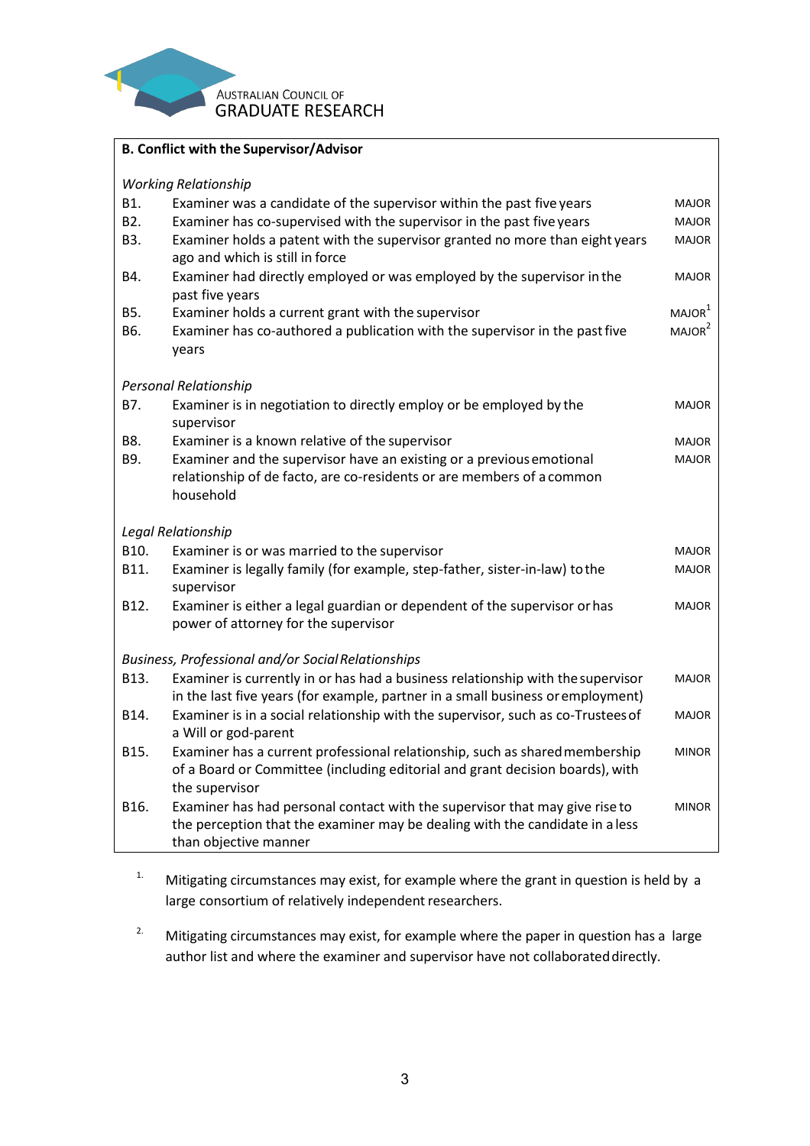

| <b>B. Conflict with the Supervisor/Advisor</b> |                                                                                  |                    |  |  |
|------------------------------------------------|----------------------------------------------------------------------------------|--------------------|--|--|
| <b>Working Relationship</b>                    |                                                                                  |                    |  |  |
| B1.                                            | Examiner was a candidate of the supervisor within the past five years            | <b>MAJOR</b>       |  |  |
| B <sub>2</sub> .                               | Examiner has co-supervised with the supervisor in the past five years            | <b>MAJOR</b>       |  |  |
| B3.                                            | Examiner holds a patent with the supervisor granted no more than eight years     | <b>MAJOR</b>       |  |  |
|                                                | ago and which is still in force                                                  |                    |  |  |
| B4.                                            | Examiner had directly employed or was employed by the supervisor in the          | MAJOR              |  |  |
|                                                | past five years                                                                  |                    |  |  |
| B5.                                            | Examiner holds a current grant with the supervisor                               | MAJOR <sup>1</sup> |  |  |
| B6.                                            | Examiner has co-authored a publication with the supervisor in the past five      | MAJOR <sup>2</sup> |  |  |
|                                                | years                                                                            |                    |  |  |
|                                                | <b>Personal Relationship</b>                                                     |                    |  |  |
| B7.                                            | Examiner is in negotiation to directly employ or be employed by the              | <b>MAJOR</b>       |  |  |
|                                                | supervisor                                                                       |                    |  |  |
| B8.                                            | Examiner is a known relative of the supervisor                                   | <b>MAJOR</b>       |  |  |
| B9.                                            | Examiner and the supervisor have an existing or a previous emotional             | <b>MAJOR</b>       |  |  |
|                                                | relationship of de facto, are co-residents or are members of a common            |                    |  |  |
|                                                | household                                                                        |                    |  |  |
| Legal Relationship                             |                                                                                  |                    |  |  |
| B10.                                           | Examiner is or was married to the supervisor                                     | <b>MAJOR</b>       |  |  |
| B11.                                           | Examiner is legally family (for example, step-father, sister-in-law) to the      | <b>MAJOR</b>       |  |  |
|                                                | supervisor                                                                       |                    |  |  |
| B12.                                           | Examiner is either a legal guardian or dependent of the supervisor or has        | MAJOR              |  |  |
|                                                | power of attorney for the supervisor                                             |                    |  |  |
|                                                | Business, Professional and/or Social Relationships                               |                    |  |  |
| B13.                                           | Examiner is currently in or has had a business relationship with the supervisor  | <b>MAJOR</b>       |  |  |
|                                                | in the last five years (for example, partner in a small business or employment)  |                    |  |  |
| B14.                                           | Examiner is in a social relationship with the supervisor, such as co-Trustees of | <b>MAJOR</b>       |  |  |
|                                                | a Will or god-parent                                                             |                    |  |  |
| B15.                                           | Examiner has a current professional relationship, such as shared membership      | <b>MINOR</b>       |  |  |
|                                                | of a Board or Committee (including editorial and grant decision boards), with    |                    |  |  |
|                                                | the supervisor                                                                   |                    |  |  |
| B16.                                           | Examiner has had personal contact with the supervisor that may give rise to      | <b>MINOR</b>       |  |  |
|                                                | the perception that the examiner may be dealing with the candidate in a less     |                    |  |  |
|                                                | than objective manner                                                            |                    |  |  |

- <sup>1.</sup> Mitigating circumstances may exist, for example where the grant in question is held by a large consortium of relatively independent researchers.
- <sup>2.</sup> Mitigating circumstances may exist, for example where the paper in question has a large author list and where the examiner and supervisor have not collaborateddirectly.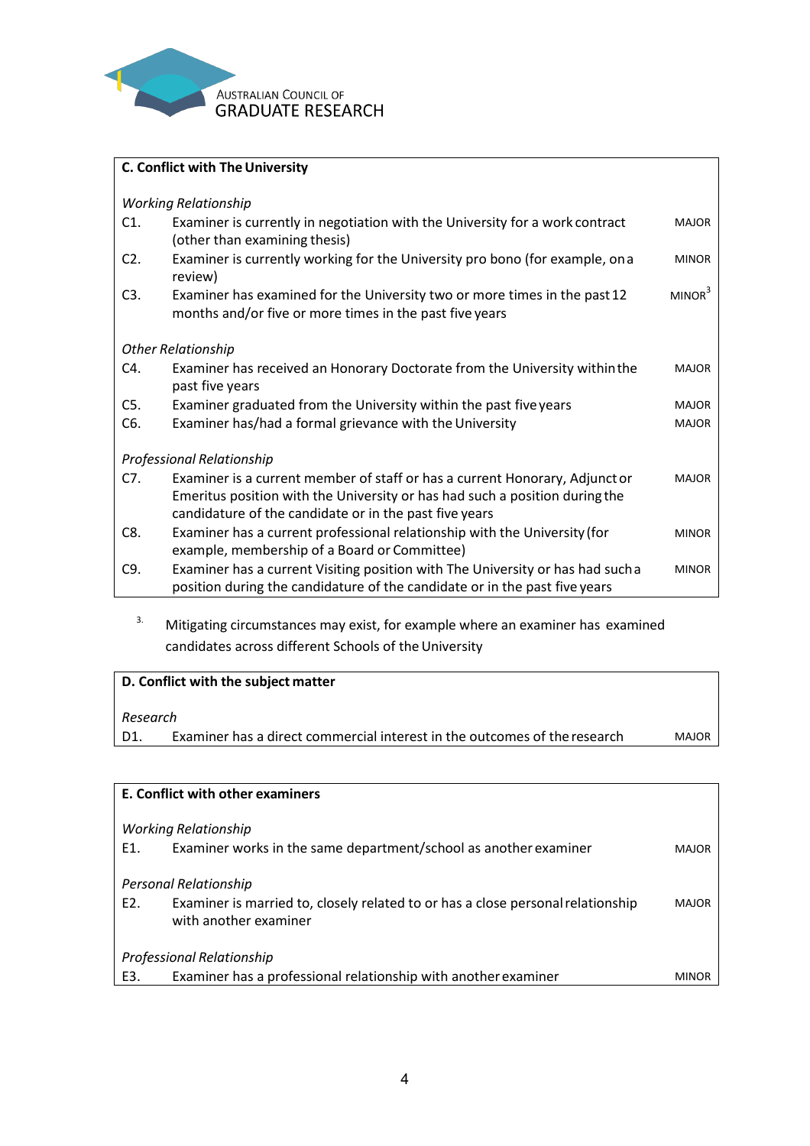

| C. Conflict with The University |                                                                                                                                                                                                                      |                    |  |
|---------------------------------|----------------------------------------------------------------------------------------------------------------------------------------------------------------------------------------------------------------------|--------------------|--|
| <b>Working Relationship</b>     |                                                                                                                                                                                                                      |                    |  |
| C <sub>1</sub>                  | Examiner is currently in negotiation with the University for a work contract<br>(other than examining thesis)                                                                                                        | <b>MAJOR</b>       |  |
| $C2$ .                          | Examiner is currently working for the University pro bono (for example, on a<br>review)                                                                                                                              | <b>MINOR</b>       |  |
| C3.                             | Examiner has examined for the University two or more times in the past 12<br>months and/or five or more times in the past five years                                                                                 | MINOR <sup>3</sup> |  |
| <b>Other Relationship</b>       |                                                                                                                                                                                                                      |                    |  |
| C4.                             | Examiner has received an Honorary Doctorate from the University within the<br>past five years                                                                                                                        | <b>MAJOR</b>       |  |
| C5.                             | Examiner graduated from the University within the past five years                                                                                                                                                    | <b>MAJOR</b>       |  |
| C <sub>6</sub> .                | Examiner has/had a formal grievance with the University                                                                                                                                                              | <b>MAJOR</b>       |  |
| Professional Relationship       |                                                                                                                                                                                                                      |                    |  |
| C7.                             | Examiner is a current member of staff or has a current Honorary, Adjunct or<br>Emeritus position with the University or has had such a position during the<br>candidature of the candidate or in the past five years | <b>MAJOR</b>       |  |
| C <sub>8</sub>                  | Examiner has a current professional relationship with the University (for<br>example, membership of a Board or Committee)                                                                                            | <b>MINOR</b>       |  |
| C <sub>9</sub> .                | Examiner has a current Visiting position with The University or has had such a<br>position during the candidature of the candidate or in the past five years                                                         | <b>MINOR</b>       |  |

<sup>3.</sup> Mitigating circumstances may exist, for example where an examiner has examined candidates across different Schools of the University

| D. Conflict with the subject matter |                                                                           |              |  |
|-------------------------------------|---------------------------------------------------------------------------|--------------|--|
| Research                            |                                                                           |              |  |
| D1.                                 | Examiner has a direct commercial interest in the outcomes of the research | <b>MAJOR</b> |  |

| E. Conflict with other examiners |                                                                                                                                   |       |  |  |
|----------------------------------|-----------------------------------------------------------------------------------------------------------------------------------|-------|--|--|
| Working Relationship             |                                                                                                                                   |       |  |  |
| E1.                              | Examiner works in the same department/school as another examiner                                                                  | MAJOR |  |  |
| E2.                              | Personal Relationship<br>Examiner is married to, closely related to or has a close personal relationship<br>with another examiner | MAJOR |  |  |
|                                  | Professional Relationship                                                                                                         |       |  |  |
| E3.                              | Examiner has a professional relationship with another examiner                                                                    |       |  |  |